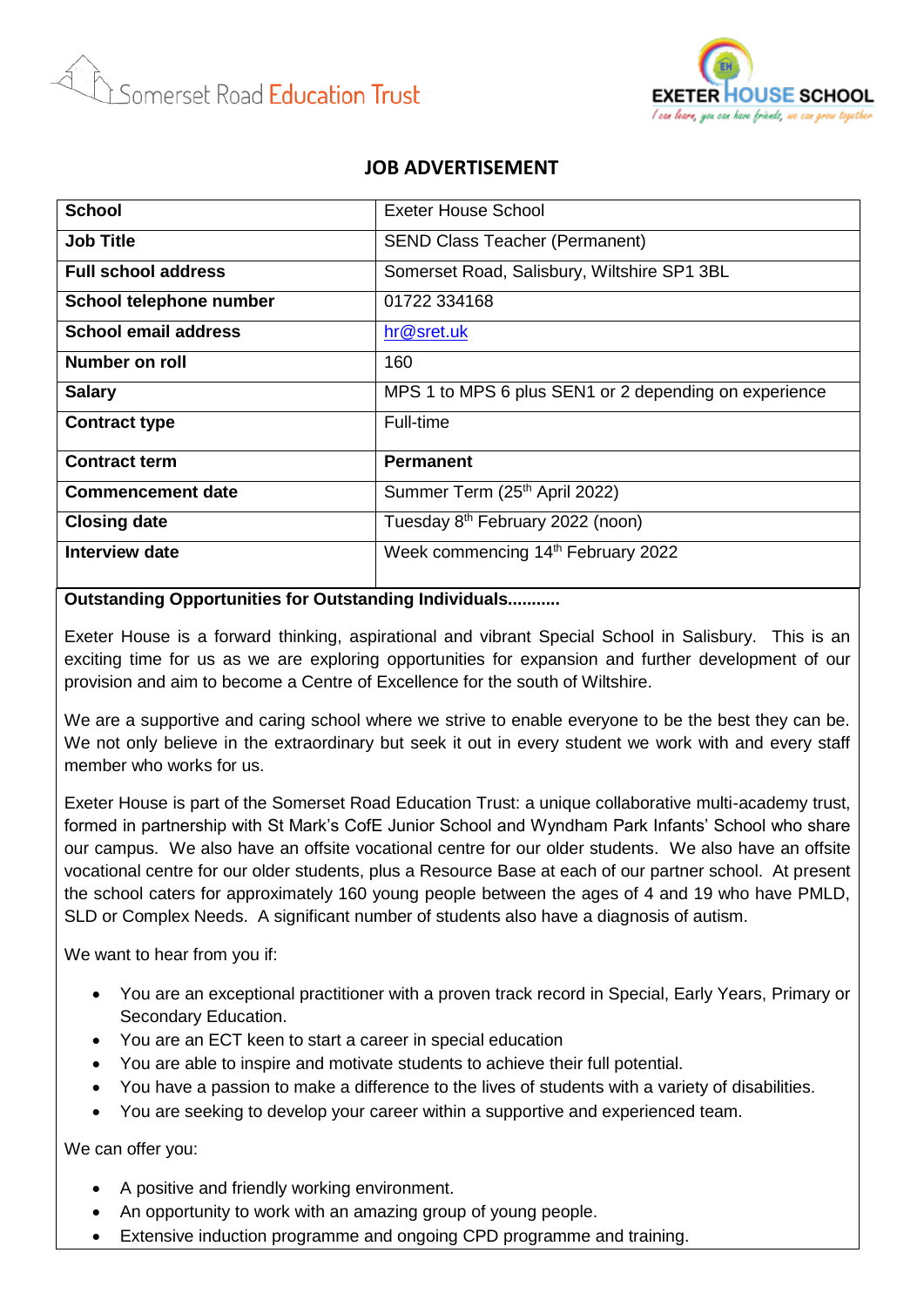



## **JOB ADVERTISEMENT**

| <b>School</b>               | Exeter House School                                   |
|-----------------------------|-------------------------------------------------------|
| <b>Job Title</b>            | <b>SEND Class Teacher (Permanent)</b>                 |
| <b>Full school address</b>  | Somerset Road, Salisbury, Wiltshire SP1 3BL           |
| School telephone number     | 01722 334168                                          |
| <b>School email address</b> | hr@sret.uk                                            |
| <b>Number on roll</b>       | 160                                                   |
| <b>Salary</b>               | MPS 1 to MPS 6 plus SEN1 or 2 depending on experience |
| <b>Contract type</b>        | Full-time                                             |
| <b>Contract term</b>        | <b>Permanent</b>                                      |
| <b>Commencement date</b>    | Summer Term (25th April 2022)                         |
| <b>Closing date</b>         | Tuesday 8th February 2022 (noon)                      |
| Interview date              | Week commencing 14th February 2022                    |

## **Outstanding Opportunities for Outstanding Individuals...........**

Exeter House is a forward thinking, aspirational and vibrant Special School in Salisbury. This is an exciting time for us as we are exploring opportunities for expansion and further development of our provision and aim to become a Centre of Excellence for the south of Wiltshire.

We are a supportive and caring school where we strive to enable everyone to be the best they can be. We not only believe in the extraordinary but seek it out in every student we work with and every staff member who works for us.

Exeter House is part of the Somerset Road Education Trust: a unique collaborative multi-academy trust, formed in partnership with St Mark's CofE Junior School and Wyndham Park Infants' School who share our campus. We also have an offsite vocational centre for our older students. We also have an offsite vocational centre for our older students, plus a Resource Base at each of our partner school. At present the school caters for approximately 160 young people between the ages of 4 and 19 who have PMLD, SLD or Complex Needs. A significant number of students also have a diagnosis of autism.

We want to hear from you if:

- You are an exceptional practitioner with a proven track record in Special, Early Years, Primary or Secondary Education.
- You are an ECT keen to start a career in special education
- You are able to inspire and motivate students to achieve their full potential.
- You have a passion to make a difference to the lives of students with a variety of disabilities.
- You are seeking to develop your career within a supportive and experienced team.

We can offer you:

- A positive and friendly working environment.
- An opportunity to work with an amazing group of young people.
- Extensive induction programme and ongoing CPD programme and training.